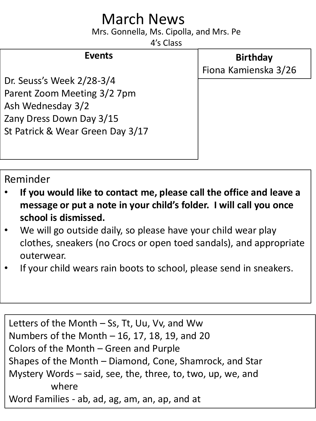## March News

Mrs. Gonnella, Ms. Cipolla, and Mrs. Pe

4's Class

## **Events**

**Birthday** Fiona Kamienska 3/26

Dr. Seuss's Week 2/28-3/4 Parent Zoom Meeting 3/2 7pm Ash Wednesday 3/2 Zany Dress Down Day 3/15 St Patrick & Wear Green Day 3/17

Reminder

- **If you would like to contact me, please call the office and leave a message or put a note in your child's folder. I will call you once school is dismissed.**
- We will go outside daily, so please have your child wear play clothes, sneakers (no Crocs or open toed sandals), and appropriate outerwear.
- If your child wears rain boots to school, please send in sneakers.

Letters of the Month – Ss, Tt, Uu, Vv, and Ww Numbers of the Month – 16, 17, 18, 19, and 20 Colors of the Month – Green and Purple Shapes of the Month – Diamond, Cone, Shamrock, and Star Mystery Words – said, see, the, three, to, two, up, we, and where Word Families - ab, ad, ag, am, an, ap, and at